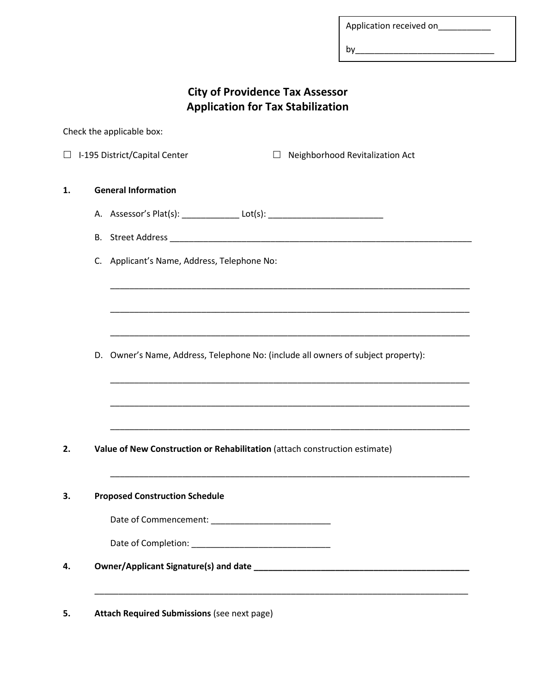Application received on\_\_\_\_\_\_\_\_\_\_\_

by\_\_\_\_\_\_\_\_\_\_\_\_\_\_\_\_\_\_\_\_\_\_\_\_\_\_\_\_\_

| <b>City of Providence Tax Assessor</b>   |
|------------------------------------------|
| <b>Application for Tax Stabilization</b> |

Check the applicable box:

 $\Box$  I-195 District/Capital Center  $\Box$  Neighborhood Revitalization Act

## **1. General Information**

- A. Assessor's Plat(s): \_\_\_\_\_\_\_\_\_\_\_\_\_\_\_\_ Lot(s): \_\_\_\_\_\_\_\_\_\_\_\_\_\_\_\_\_\_\_\_\_\_\_\_\_\_\_\_\_\_\_\_
- B. Street Address \_\_\_\_\_\_\_\_\_\_\_\_\_\_\_\_\_\_\_\_\_\_\_\_\_\_\_\_\_\_\_\_\_\_\_\_\_\_\_\_\_\_\_\_\_\_\_\_\_\_\_\_\_\_\_\_\_\_\_\_\_\_\_
- C. Applicant's Name, Address, Telephone No:

D. Owner's Name, Address, Telephone No: (include all owners of subject property):

\_\_\_\_\_\_\_\_\_\_\_\_\_\_\_\_\_\_\_\_\_\_\_\_\_\_\_\_\_\_\_\_\_\_\_\_\_\_\_\_\_\_\_\_\_\_\_\_\_\_\_\_\_\_\_\_\_\_\_\_\_\_\_\_\_\_\_\_\_\_\_\_\_\_\_

\_\_\_\_\_\_\_\_\_\_\_\_\_\_\_\_\_\_\_\_\_\_\_\_\_\_\_\_\_\_\_\_\_\_\_\_\_\_\_\_\_\_\_\_\_\_\_\_\_\_\_\_\_\_\_\_\_\_\_\_\_\_\_\_\_\_\_\_\_\_\_\_\_\_\_

\_\_\_\_\_\_\_\_\_\_\_\_\_\_\_\_\_\_\_\_\_\_\_\_\_\_\_\_\_\_\_\_\_\_\_\_\_\_\_\_\_\_\_\_\_\_\_\_\_\_\_\_\_\_\_\_\_\_\_\_\_\_\_\_\_\_\_\_\_\_\_\_\_\_\_

\_\_\_\_\_\_\_\_\_\_\_\_\_\_\_\_\_\_\_\_\_\_\_\_\_\_\_\_\_\_\_\_\_\_\_\_\_\_\_\_\_\_\_\_\_\_\_\_\_\_\_\_\_\_\_\_\_\_\_\_\_\_\_\_\_\_\_\_\_\_\_\_\_\_\_

\_\_\_\_\_\_\_\_\_\_\_\_\_\_\_\_\_\_\_\_\_\_\_\_\_\_\_\_\_\_\_\_\_\_\_\_\_\_\_\_\_\_\_\_\_\_\_\_\_\_\_\_\_\_\_\_\_\_\_\_\_\_\_\_\_\_\_\_\_\_\_\_\_\_\_

\_\_\_\_\_\_\_\_\_\_\_\_\_\_\_\_\_\_\_\_\_\_\_\_\_\_\_\_\_\_\_\_\_\_\_\_\_\_\_\_\_\_\_\_\_\_\_\_\_\_\_\_\_\_\_\_\_\_\_\_\_\_\_\_\_\_\_\_\_\_\_\_\_\_\_

\_\_\_\_\_\_\_\_\_\_\_\_\_\_\_\_\_\_\_\_\_\_\_\_\_\_\_\_\_\_\_\_\_\_\_\_\_\_\_\_\_\_\_\_\_\_\_\_\_\_\_\_\_\_\_\_\_\_\_\_\_\_\_\_\_\_\_\_\_\_\_\_\_\_\_

\_\_\_\_\_\_\_\_\_\_\_\_\_\_\_\_\_\_\_\_\_\_\_\_\_\_\_\_\_\_\_\_\_\_\_\_\_\_\_\_\_\_\_\_\_\_\_\_\_\_\_\_\_\_\_\_\_\_\_\_\_\_\_\_\_\_\_\_\_\_\_\_\_\_\_\_\_\_

**2. Value of New Construction or Rehabilitation** (attach construction estimate)

**3. Proposed Construction Schedule** 

Date of Commencement: \_\_\_\_\_\_\_\_\_\_\_\_\_\_\_\_\_\_\_\_\_\_\_\_\_

Date of Completion: \_\_\_\_\_\_\_\_\_\_\_\_\_\_\_\_\_\_\_\_\_\_\_\_\_\_\_\_\_

**4. Owner/Applicant Signature(s) and date \_\_\_\_\_\_\_\_\_\_\_\_\_\_\_\_\_\_\_\_\_\_\_\_\_\_\_\_\_\_\_\_\_\_\_\_\_\_\_\_\_\_\_\_\_** 

**5. Attach Required Submissions** (see next page)